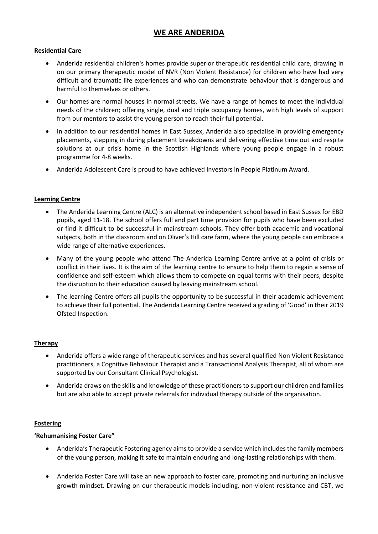## **WE ARE ANDERIDA**

## **Residential Care**

- Anderida residential children's homes provide superior therapeutic residential child care, drawing in on our primary therapeutic model of NVR (Non Violent Resistance) for children who have had very difficult and traumatic life experiences and who can demonstrate behaviour that is dangerous and harmful to themselves or others.
- Our homes are normal houses in normal streets. We have a range of homes to meet the individual needs of the children; offering single, dual and triple occupancy homes, with high levels of support from our mentors to assist the young person to reach their full potential.
- In addition to our residential homes in East Sussex, Anderida also specialise in providing emergency placements, stepping in during placement breakdowns and delivering effective time out and respite solutions at our crisis home in the Scottish Highlands where young people engage in a robust programme for 4-8 weeks.
- Anderida Adolescent Care is proud to have achieved Investors in People Platinum Award.

### **Learning Centre**

- The Anderida Learning Centre (ALC) is an alternative independent school based in East Sussex for EBD pupils, aged 11-18. The school offers full and part time provision for pupils who have been excluded or find it difficult to be successful in mainstream schools. They offer both academic and vocational subjects, both in the classroom and on Oliver's Hill care farm, where the young people can embrace a wide range of alternative experiences.
- Many of the young people who attend The Anderida Learning Centre arrive at a point of crisis or conflict in their lives. It is the aim of the learning centre to ensure to help them to regain a sense of confidence and self-esteem which allows them to compete on equal terms with their peers, despite the disruption to their education caused by leaving mainstream school.
- The learning Centre offers all pupils the opportunity to be successful in their academic achievement to achieve their full potential. The Anderida Learning Centre received a grading of 'Good' in their 2019 Ofsted Inspection.

### **Therapy**

- Anderida offers a wide range of therapeutic services and has several qualified Non Violent Resistance practitioners, a Cognitive Behaviour Therapist and a Transactional Analysis Therapist, all of whom are supported by our Consultant Clinical Psychologist.
- Anderida draws on the skills and knowledge of these practitioners to support our children and families but are also able to accept private referrals for individual therapy outside of the organisation.

### **Fostering**

### **'Rehumanising Foster Care"**

- Anderida's Therapeutic Fostering agency aims to provide a service which includes the family members of the young person, making it safe to maintain enduring and long-lasting relationships with them.
- Anderida Foster Care will take an new approach to foster care, promoting and nurturing an inclusive growth mindset. Drawing on our therapeutic models including, non-violent resistance and CBT, we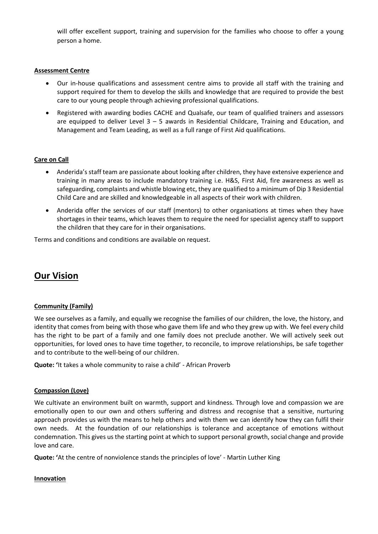will offer excellent support, training and supervision for the families who choose to offer a young person a home.

### **Assessment Centre**

- Our in-house qualifications and assessment centre aims to provide all staff with the training and support required for them to develop the skills and knowledge that are required to provide the best care to our young people through achieving professional qualifications.
- Registered with awarding bodies CACHE and Qualsafe, our team of qualified trainers and assessors are equipped to deliver Level 3 – 5 awards in Residential Childcare, Training and Education, and Management and Team Leading, as well as a full range of First Aid qualifications.

### **Care on Call**

- Anderida's staff team are passionate about looking after children, they have extensive experience and training in many areas to include mandatory training i.e. H&S, First Aid, fire awareness as well as safeguarding, complaints and whistle blowing etc, they are qualified to a minimum of Dip 3 Residential Child Care and are skilled and knowledgeable in all aspects of their work with children.
- Anderida offer the services of our staff (mentors) to other organisations at times when they have shortages in their teams, which leaves them to require the need for specialist agency staff to support the children that they care for in their organisations.

Terms and conditions and conditions are available on request.

# **Our Vision**

### **Community (Family)**

We see ourselves as a family, and equally we recognise the families of our children, the love, the history, and identity that comes from being with those who gave them life and who they grew up with. We feel every child has the right to be part of a family and one family does not preclude another. We will actively seek out opportunities, for loved ones to have time together, to reconcile, to improve relationships, be safe together and to contribute to the well-being of our children.

**Quote: '**It takes a whole community to raise a child' - African Proverb

### **Compassion (Love)**

We cultivate an environment built on warmth, support and kindness. Through love and compassion we are emotionally open to our own and others suffering and distress and recognise that a sensitive, nurturing approach provides us with the means to help others and with them we can identify how they can fulfil their own needs. At the foundation of our relationships is tolerance and acceptance of emotions without condemnation. This gives us the starting point at which to support personal growth, social change and provide love and care.

**Quote: '**At the centre of nonviolence stands the principles of love' - Martin Luther King

### **Innovation**